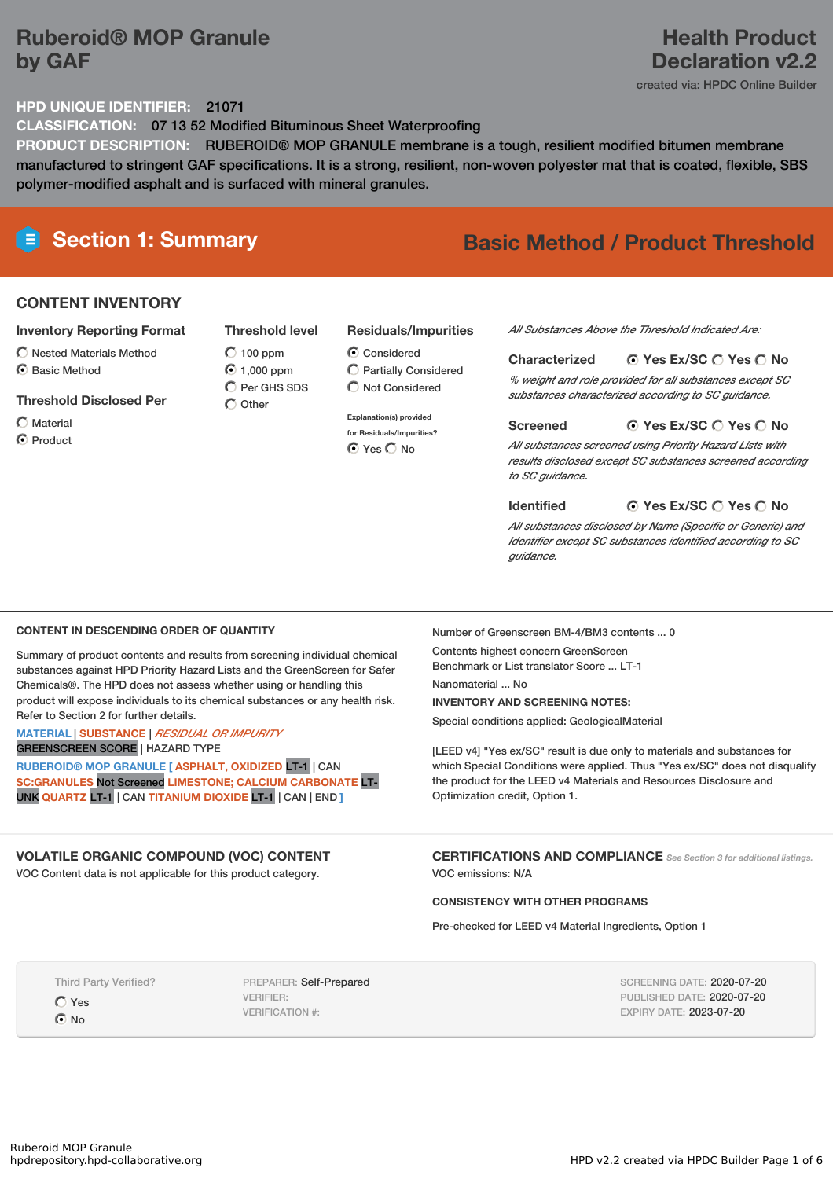# **Ruberoid® MOP Granule by GAF**

# **Health Product Declaration v2.2**

created via: HPDC Online Builder

# **HPD UNIQUE IDENTIFIER:** 21071

**CLASSIFICATION:** 07 13 52 Modified Bituminous Sheet Waterproofing

**PRODUCT DESCRIPTION:** RUBEROID® MOP GRANULE membrane is a tough, resilient modified bitumen membrane manufactured to stringent GAF specifications. It is a strong, resilient, non-woven polyester mat that is coated, flexible, SBS polymer-modified asphalt and is surfaced with mineral granules.

# **Section 1: Summary Basic Method / Product Threshold**

# **CONTENT INVENTORY**

### **Inventory Reporting Format**

- $\bigcirc$  Nested Materials Method
- C Basic Method

### **Threshold Disclosed Per**

 $\bigcap$  Material **O** Product

 $O$  100 ppm ◯ 1,000 ppm  $O$  Per GHS SDS  $\bigcirc$  Other

# **Residuals/Impurities**

- Considered Partially Considered
- **Explanation(s) provided for Residuals/Impurities?** ⊙ Yes O No

### *All Substances Above the Threshold Indicated Are:*

### **Yes Ex/SC Yes No Characterized**

*% weight and role provided for all substances except SC substances characterized according to SC guidance.*

### **Yes Ex/SC Yes No Screened**

*All substances screened using Priority Hazard Lists with results disclosed except SC substances screened according to SC guidance.*

**Identified**

### **Yes Ex/SC Yes No**

*All substances disclosed by Name (Specific or Generic) and Identifier except SC substances identified according to SC guidance.*

### **CONTENT IN DESCENDING ORDER OF QUANTITY**

Summary of product contents and results from screening individual chemical substances against HPD Priority Hazard Lists and the GreenScreen for Safer Chemicals®. The HPD does not assess whether using or handling this product will expose individuals to its chemical substances or any health risk. Refer to Section 2 for further details.

### **MATERIAL** | **SUBSTANCE** | *RESIDUAL OR IMPURITY* GREENSCREEN SCORE | HAZARD TYPE

**RUBEROID® MOP GRANULE [ ASPHALT, OXIDIZED** LT-1 | CAN **SC:GRANULES** Not Screened **LIMESTONE; CALCIUM CARBONATE** LT-UNK **QUARTZ** LT-1 | CAN **TITANIUM DIOXIDE** LT-1 | CAN | END **]**

# **VOLATILE ORGANIC COMPOUND (VOC) CONTENT**

VOC Content data is not applicable for this product category.

Number of Greenscreen BM-4/BM3 contents ... 0

Contents highest concern GreenScreen Benchmark or List translator Score ... LT-1 Nanomaterial ... No

**INVENTORY AND SCREENING NOTES:**

Special conditions applied: GeologicalMaterial

[LEED v4] "Yes ex/SC" result is due only to materials and substances for which Special Conditions were applied. Thus "Yes ex/SC" does not disqualify the product for the LEED v4 Materials and Resources Disclosure and Optimization credit, Option 1.

**CERTIFICATIONS AND COMPLIANCE** *See Section <sup>3</sup> for additional listings.* VOC emissions: N/A

# **CONSISTENCY WITH OTHER PROGRAMS**

Pre-checked for LEED v4 Material Ingredients, Option 1

Third Party Verified?

Yes  $\odot$  No

PREPARER: Self-Prepared VERIFIER: VERIFICATION #:

SCREENING DATE: 2020-07-20 PUBLISHED DATE: 2020-07-20 EXPIRY DATE: 2023-07-20

# $\bigcirc$  Not Considered

**Threshold level**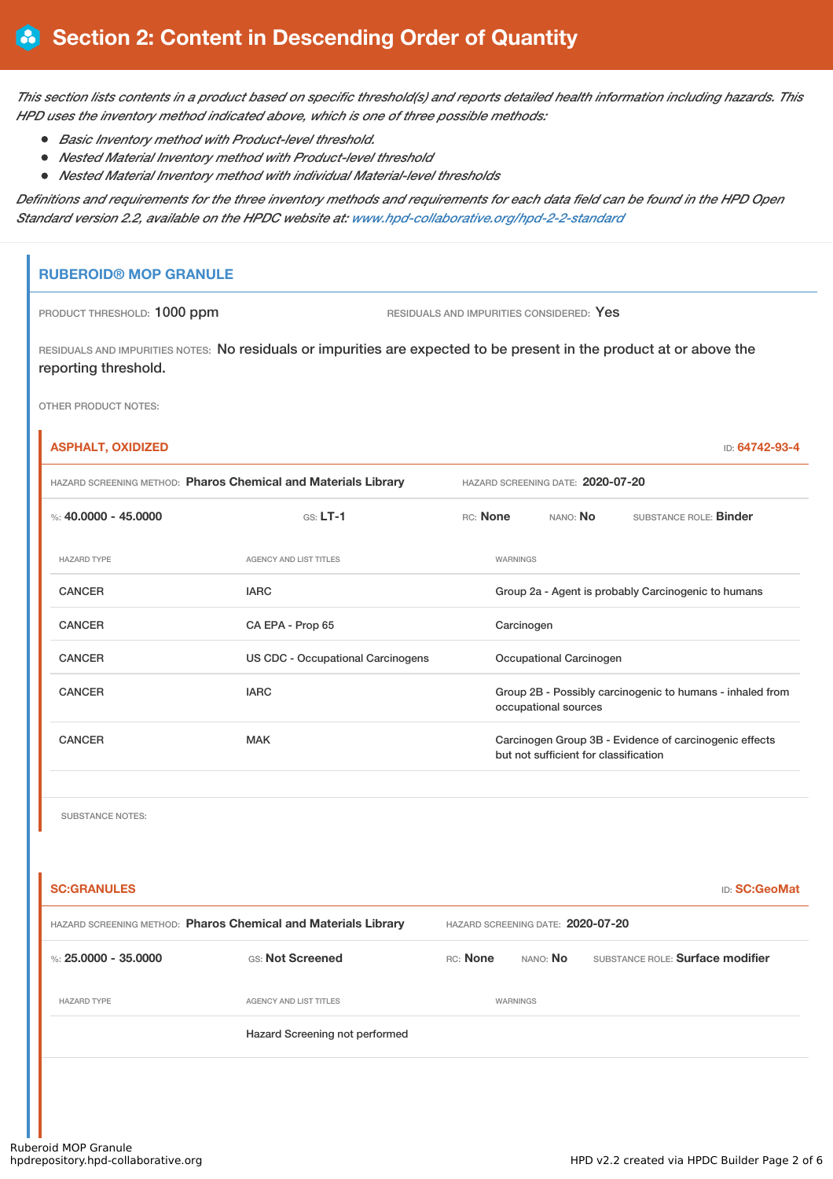This section lists contents in a product based on specific threshold(s) and reports detailed health information including hazards. This *HPD uses the inventory method indicated above, which is one of three possible methods:*

- *Basic Inventory method with Product-level threshold.*
- *Nested Material Inventory method with Product-level threshold*
- *Nested Material Inventory method with individual Material-level thresholds*

Definitions and requirements for the three inventory methods and requirements for each data field can be found in the HPD Open *Standard version 2.2, available on the HPDC website at: [www.hpd-collaborative.org/hpd-2-2-standard](https://www.hpd-collaborative.org/hpd-2-2-standard)*

# **RUBEROID® MOP GRANULE**

PRODUCT THRESHOLD: 1000 ppm RESIDUALS AND IMPURITIES CONSIDERED: Yes

RESIDUALS AND IMPURITIES NOTES: No residuals or impurities are expected to be present in the product at or above the reporting threshold.

OTHER PRODUCT NOTES:

| <b>ASPHALT, OXIDIZED</b>                                       |                                          |          |                                       | ID: 64742-93-4                                            |
|----------------------------------------------------------------|------------------------------------------|----------|---------------------------------------|-----------------------------------------------------------|
| HAZARD SCREENING METHOD: Pharos Chemical and Materials Library |                                          |          | HAZARD SCREENING DATE: 2020-07-20     |                                                           |
| %: $40,0000 - 45,0000$                                         | $GS: LT-1$                               | RC: None | NANO: <b>No</b>                       | SUBSTANCE ROLE: <b>Binder</b>                             |
| <b>HAZARD TYPE</b>                                             | <b>AGENCY AND LIST TITLES</b>            | WARNINGS |                                       |                                                           |
| <b>CANCER</b>                                                  | <b>IARC</b>                              |          |                                       | Group 2a - Agent is probably Carcinogenic to humans       |
| <b>CANCER</b>                                                  | CA EPA - Prop 65                         |          | Carcinogen                            |                                                           |
| <b>CANCER</b>                                                  | <b>US CDC - Occupational Carcinogens</b> |          | Occupational Carcinogen               |                                                           |
| <b>CANCER</b>                                                  | <b>IARC</b>                              |          | occupational sources                  | Group 2B - Possibly carcinogenic to humans - inhaled from |
| <b>CANCER</b>                                                  | <b>MAK</b>                               |          | but not sufficient for classification | Carcinogen Group 3B - Evidence of carcinogenic effects    |
|                                                                |                                          |          |                                       |                                                           |

SUBSTANCE NOTES:

| <b>SC:GRANULES</b>                                             |                                |                                   |                 | <b>ID:</b> SC:GeoMat             |  |
|----------------------------------------------------------------|--------------------------------|-----------------------------------|-----------------|----------------------------------|--|
| HAZARD SCREENING METHOD: Pharos Chemical and Materials Library |                                | HAZARD SCREENING DATE: 2020-07-20 |                 |                                  |  |
| %: $25.0000 - 35.0000$                                         | GS: Not Screened               | RC: None                          | NANO: <b>No</b> | SUBSTANCE ROLE: Surface modifier |  |
| <b>HAZARD TYPE</b>                                             | <b>AGENCY AND LIST TITLES</b>  |                                   | WARNINGS        |                                  |  |
|                                                                | Hazard Screening not performed |                                   |                 |                                  |  |
|                                                                |                                |                                   |                 |                                  |  |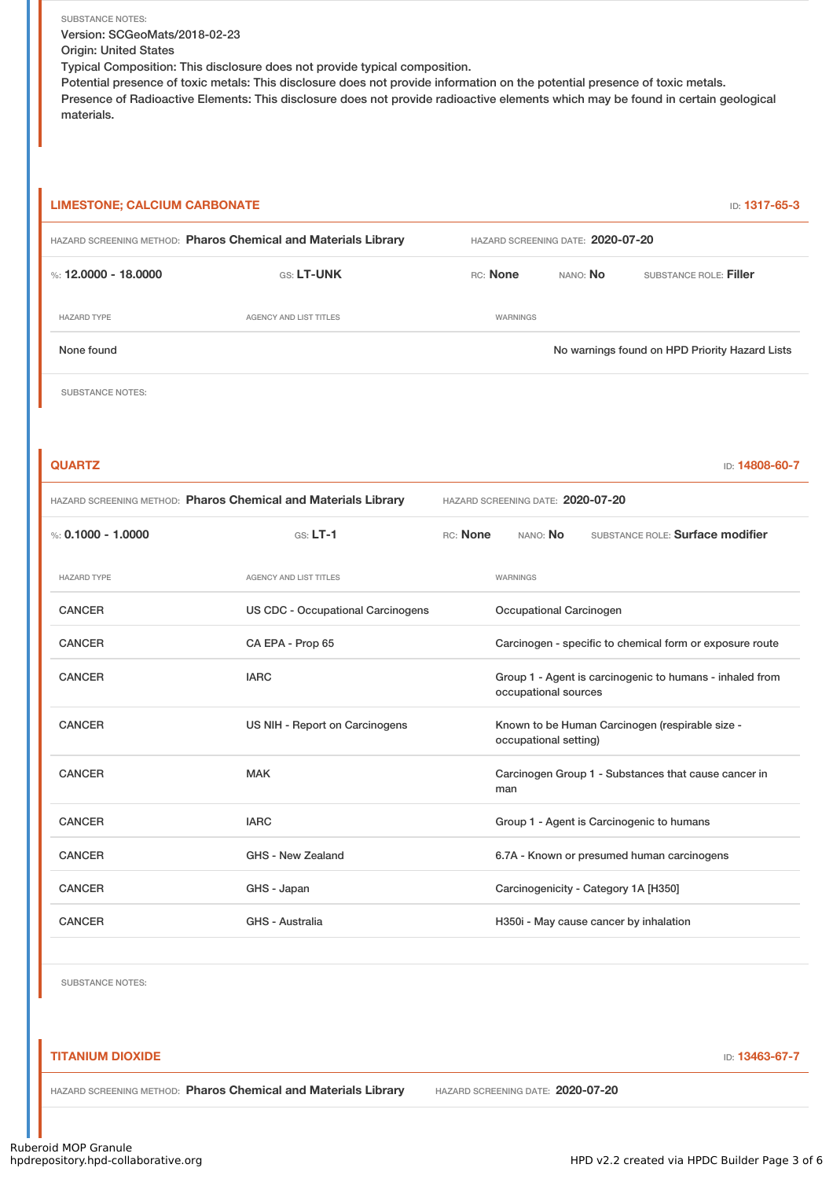SUBSTANCE NOTES: Version: SCGeoMats/2018-02-23 Origin: United States Typical Composition: This disclosure does not provide typical composition.

Potential presence of toxic metals: This disclosure does not provide information on the potential presence of toxic metals. Presence of Radioactive Elements: This disclosure does not provide radioactive elements which may be found in certain geological materials.

# **LIMESTONE; CALCIUM CARBONATE ID: 1317-65-3**

| HAZARD SCREENING METHOD: Pharos Chemical and Materials Library |                        | HAZARD SCREENING DATE: 2020-07-20 |          |                                                |  |
|----------------------------------------------------------------|------------------------|-----------------------------------|----------|------------------------------------------------|--|
| %: 12,0000 - 18,0000                                           | <b>GS: LT-UNK</b>      | RC: None                          | NANO: No | SUBSTANCE ROLE: Filler                         |  |
| <b>HAZARD TYPE</b>                                             | AGENCY AND LIST TITLES | <b>WARNINGS</b>                   |          |                                                |  |
| None found                                                     |                        |                                   |          | No warnings found on HPD Priority Hazard Lists |  |
|                                                                |                        |                                   |          |                                                |  |

SUBSTANCE NOTES:

| <b>QUARTZ</b>                                                  |                                          |                                   | ID: 14808-60-7                                                                   |  |  |
|----------------------------------------------------------------|------------------------------------------|-----------------------------------|----------------------------------------------------------------------------------|--|--|
| HAZARD SCREENING METHOD: Pharos Chemical and Materials Library |                                          | HAZARD SCREENING DATE: 2020-07-20 |                                                                                  |  |  |
| %: $0.1000 - 1.0000$                                           | $GS: LT-1$                               | RC: None                          | SUBSTANCE ROLE: Surface modifier<br>NANO: No                                     |  |  |
| <b>HAZARD TYPE</b>                                             | <b>AGENCY AND LIST TITLES</b>            |                                   | <b>WARNINGS</b>                                                                  |  |  |
| <b>CANCER</b>                                                  | <b>US CDC - Occupational Carcinogens</b> |                                   | Occupational Carcinogen                                                          |  |  |
| <b>CANCER</b>                                                  | CA EPA - Prop 65                         |                                   | Carcinogen - specific to chemical form or exposure route                         |  |  |
| <b>CANCER</b>                                                  | <b>IARC</b>                              |                                   | Group 1 - Agent is carcinogenic to humans - inhaled from<br>occupational sources |  |  |
| <b>CANCER</b>                                                  | US NIH - Report on Carcinogens           |                                   | Known to be Human Carcinogen (respirable size -<br>occupational setting)         |  |  |
| <b>CANCER</b>                                                  | <b>MAK</b>                               |                                   | Carcinogen Group 1 - Substances that cause cancer in<br>man                      |  |  |
| <b>CANCER</b>                                                  | <b>IARC</b>                              |                                   | Group 1 - Agent is Carcinogenic to humans                                        |  |  |
| <b>CANCER</b>                                                  | GHS - New Zealand                        |                                   | 6.7A - Known or presumed human carcinogens                                       |  |  |
| <b>CANCER</b>                                                  | GHS - Japan                              |                                   | Carcinogenicity - Category 1A [H350]                                             |  |  |
| <b>CANCER</b>                                                  | GHS - Australia                          |                                   | H350i - May cause cancer by inhalation                                           |  |  |
|                                                                |                                          |                                   |                                                                                  |  |  |

SUBSTANCE NOTES:

# **TITANIUM DIOXIDE ID: 13463-67-7**

HAZARD SCREENING METHOD: **Pharos Chemical and Materials Library** HAZARD SCREENING DATE: **2020-07-20**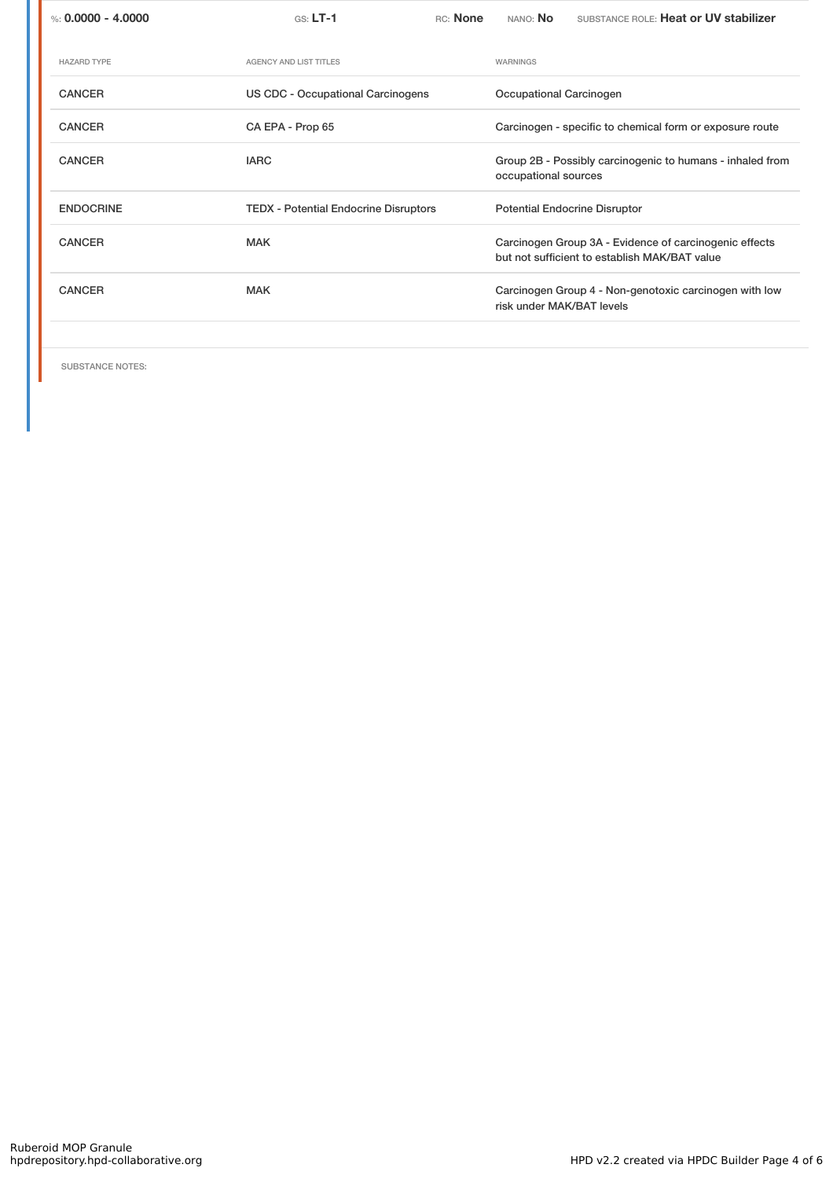| %: $0.0000 - 4.0000$ | $GS: LT-1$                                   | RC: None | NANO: <b>No</b>           | SUBSTANCE ROLE: Heat or UV stabilizer                                                                   |
|----------------------|----------------------------------------------|----------|---------------------------|---------------------------------------------------------------------------------------------------------|
| <b>HAZARD TYPE</b>   | <b>AGENCY AND LIST TITLES</b>                |          | WARNINGS                  |                                                                                                         |
| <b>CANCER</b>        | US CDC - Occupational Carcinogens            |          | Occupational Carcinogen   |                                                                                                         |
| <b>CANCER</b>        | CA EPA - Prop 65                             |          |                           | Carcinogen - specific to chemical form or exposure route                                                |
| <b>CANCER</b>        | <b>IARC</b>                                  |          | occupational sources      | Group 2B - Possibly carcinogenic to humans - inhaled from                                               |
| <b>ENDOCRINE</b>     | <b>TEDX - Potential Endocrine Disruptors</b> |          |                           | <b>Potential Endocrine Disruptor</b>                                                                    |
| <b>CANCER</b>        | <b>MAK</b>                                   |          |                           | Carcinogen Group 3A - Evidence of carcinogenic effects<br>but not sufficient to establish MAK/BAT value |
| <b>CANCER</b>        | <b>MAK</b>                                   |          | risk under MAK/BAT levels | Carcinogen Group 4 - Non-genotoxic carcinogen with low                                                  |
|                      |                                              |          |                           |                                                                                                         |

SUBSTANCE NOTES: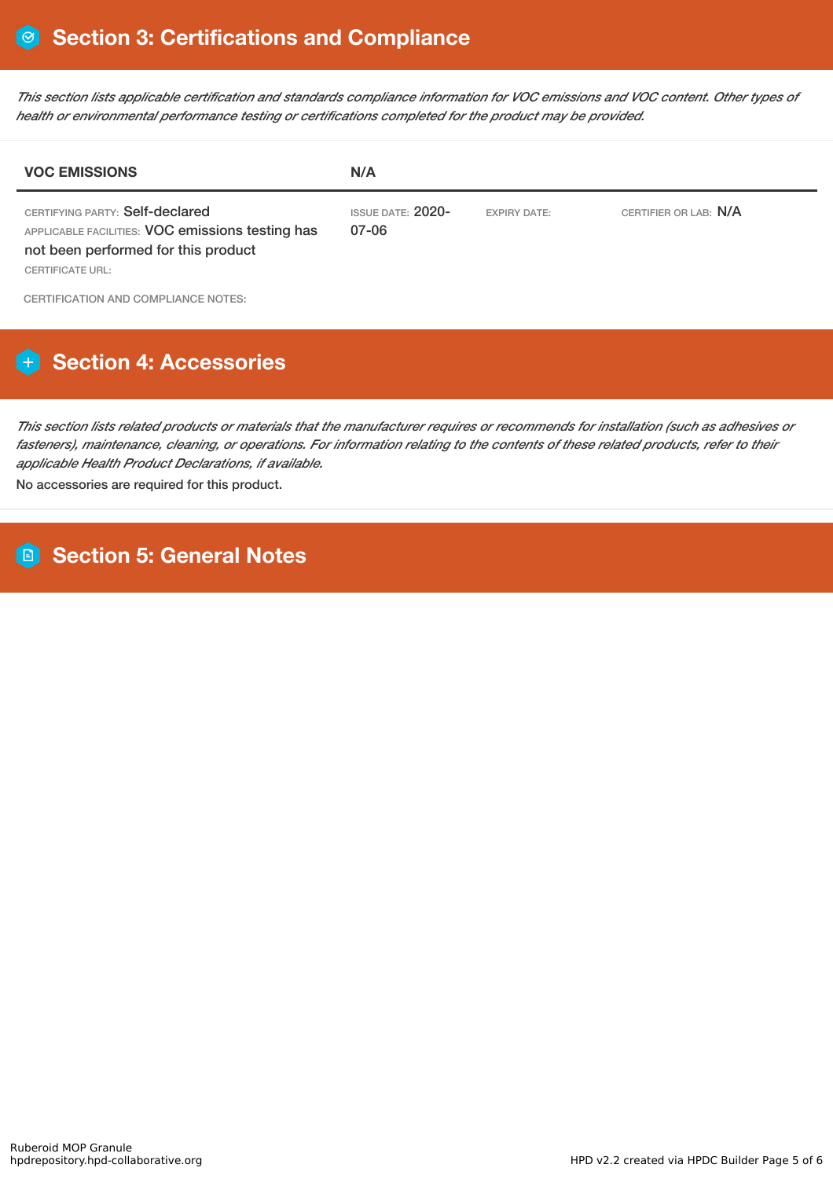This section lists applicable certification and standards compliance information for VOC emissions and VOC content. Other types of *health or environmental performance testing or certifications completed for the product may be provided.*

| <b>VOC EMISSIONS</b>                                                                                                                                  | N/A                               |                     |                       |  |
|-------------------------------------------------------------------------------------------------------------------------------------------------------|-----------------------------------|---------------------|-----------------------|--|
| CERTIFYING PARTY: Self-declared<br>APPLICABLE FACILITIES: VOC emissions testing has<br>not been performed for this product<br><b>CERTIFICATE URL:</b> | <b>ISSUE DATE: 2020-</b><br>07-06 | <b>EXPIRY DATE:</b> | CERTIFIER OR LAB: N/A |  |
| CERTIFICATION AND COMPLIANCE NOTES:                                                                                                                   |                                   |                     |                       |  |

# **Section 4: Accessories**

This section lists related products or materials that the manufacturer requires or recommends for installation (such as adhesives or fasteners), maintenance, cleaning, or operations. For information relating to the contents of these related products, refer to their *applicable Health Product Declarations, if available.*

No accessories are required for this product.

**Section 5: General Notes**